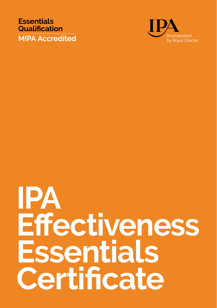### **Essentials Qualification MIPA Accredited**



# **IPA Effectiveness Essentials Certificate**